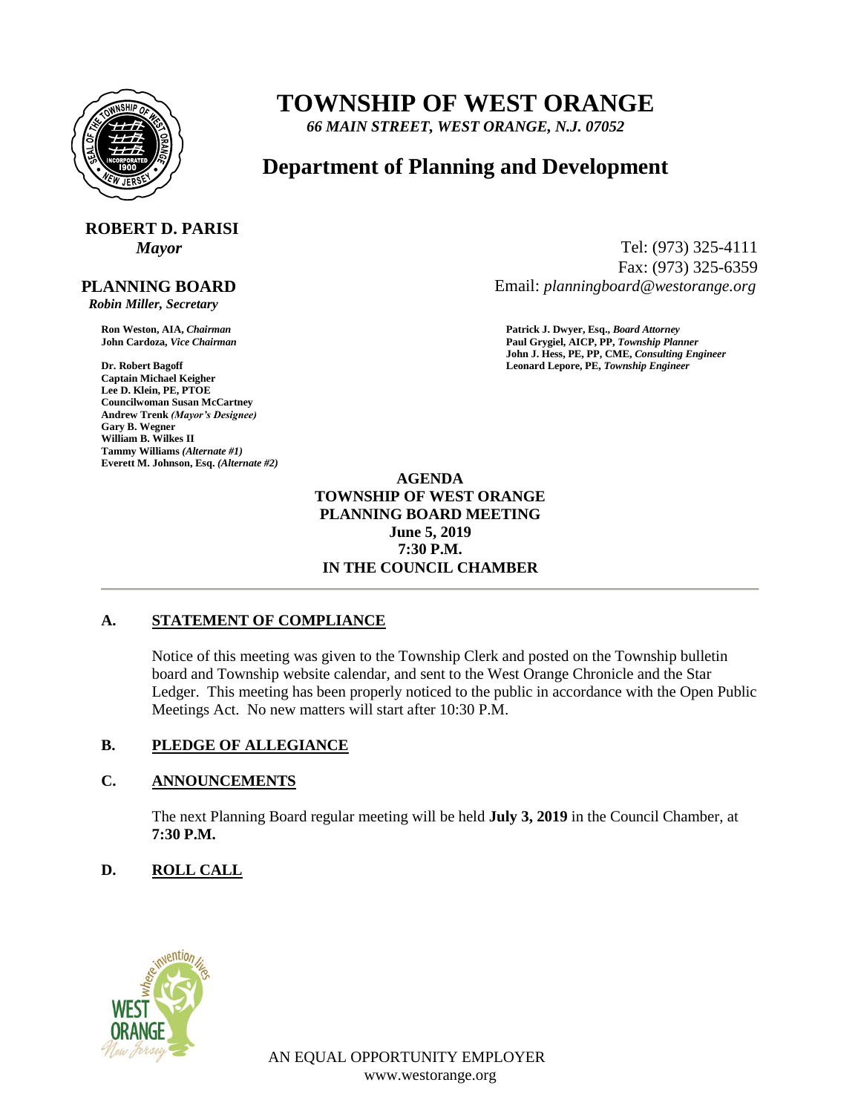

## **TOWNSHIP OF WEST ORANGE**

*66 MAIN STREET, WEST ORANGE, N.J. 07052*

### **Department of Planning and Development**

# **ROBERT D. PARISI**

#### **PLANNING BOARD**

 *Robin Miller, Secretary*

**Captain Michael Keigher Lee D. Klein, PE, PTOE Councilwoman Susan McCartney Andrew Trenk** *(Mayor's Designee)* **Gary B. Wegner William B. Wilkes II Tammy Williams** *(Alternate #1)* **Everett M. Johnson, Esq.** *(Alternate #2)*

*Mayor* Tel: (973) 325-4111 Fax: (973) 325-6359 Email: *planningboard@westorange.org*

**Ron Weston, AIA,** *Chairman* **Patrick J. Dwyer, Esq.,** *Board Attorney* **John Cardoza,** *Vice Chairman* **Paul Grygiel, AICP, PP,** *Township Planner* **John J. Hess, PE, PP, CME,** *Consulting Engineer* **Dr. Robert Bagoff Leonard Lepore, PE,** *Township Engineer*

> **AGENDA TOWNSHIP OF WEST ORANGE PLANNING BOARD MEETING June 5, 2019 7:30 P.M. IN THE COUNCIL CHAMBER**

#### **A. STATEMENT OF COMPLIANCE**

Notice of this meeting was given to the Township Clerk and posted on the Township bulletin board and Township website calendar, and sent to the West Orange Chronicle and the Star Ledger. This meeting has been properly noticed to the public in accordance with the Open Public Meetings Act. No new matters will start after 10:30 P.M.

#### **B. PLEDGE OF ALLEGIANCE**

#### **C. ANNOUNCEMENTS**

The next Planning Board regular meeting will be held **July 3, 2019** in the Council Chamber, at **7:30 P.M.**

#### **D. ROLL CALL**